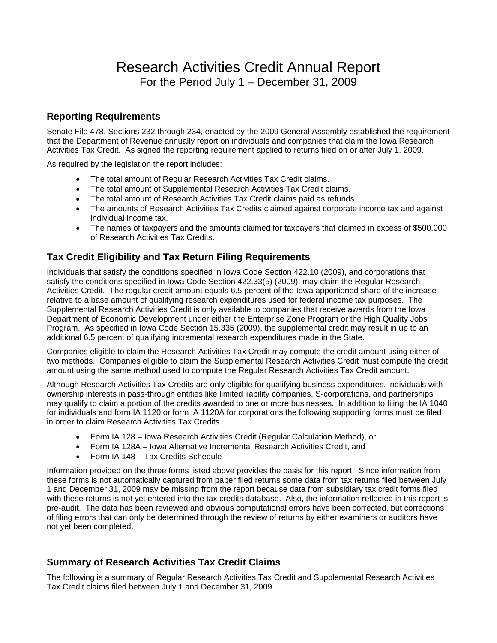# Research Activities Credit Annual Report For the Period July 1 – December 31, 2009

# **Reporting Requirements**

Senate File 478, Sections 232 through 234, enacted by the 2009 General Assembly established the requirement that the Department of Revenue annually report on individuals and companies that claim the Iowa Research Activities Tax Credit. As signed the reporting requirement applied to returns filed on or after July 1, 2009.

As required by the legislation the report includes:

- The total amount of Regular Research Activities Tax Credit claims.
- The total amount of Supplemental Research Activities Tax Credit claims.
- The total amount of Research Activities Tax Credit claims paid as refunds.
- The amounts of Research Activities Tax Credits claimed against corporate income tax and against individual income tax.
- The names of taxpayers and the amounts claimed for taxpayers that claimed in excess of \$500,000 of Research Activities Tax Credits.

## **Tax Credit Eligibility and Tax Return Filing Requirements**

Individuals that satisfy the conditions specified in Iowa Code Section 422.10 (2009), and corporations that satisfy the conditions specified in Iowa Code Section 422.33(5) (2009), may claim the Regular Research Activities Credit. The regular credit amount equals 6.5 percent of the Iowa apportioned share of the increase relative to a base amount of qualifying research expenditures used for federal income tax purposes. The Supplemental Research Activities Credit is only available to companies that receive awards from the Iowa Department of Economic Development under either the Enterprise Zone Program or the High Quality Jobs Program. As specified in Iowa Code Section 15.335 (2009), the supplemental credit may result in up to an additional 6.5 percent of qualifying incremental research expenditures made in the State.

Companies eligible to claim the Research Activities Tax Credit may compute the credit amount using either of two methods. Companies eligible to claim the Supplemental Research Activities Credit must compute the credit amount using the same method used to compute the Regular Research Activities Tax Credit amount.

Although Research Activities Tax Credits are only eligible for qualifying business expenditures, individuals with ownership interests in pass-through entities like limited liability companies, S-corporations, and partnerships may qualify to claim a portion of the credits awarded to one or more businesses. In addition to filing the IA 1040 for individuals and form IA 1120 or form IA 1120A for corporations the following supporting forms must be filed in order to claim Research Activities Tax Credits.

- Form IA 128 Iowa Research Activities Credit (Regular Calculation Method), or
- Form IA 128A Iowa Alternative Incremental Research Activities Credit, and
- Form IA 148 Tax Credits Schedule

Information provided on the three forms listed above provides the basis for this report. Since information from these forms is not automatically captured from paper filed returns some data from tax returns filed between July 1 and December 31, 2009 may be missing from the report because data from subsidiary tax credit forms filed with these returns is not yet entered into the tax credits database. Also, the information reflected in this report is pre-audit. The data has been reviewed and obvious computational errors have been corrected, but corrections of filing errors that can only be determined through the review of returns by either examiners or auditors have not yet been completed.

## **Summary of Research Activities Tax Credit Claims**

The following is a summary of Regular Research Activities Tax Credit and Supplemental Research Activities Tax Credit claims filed between July 1 and December 31, 2009.